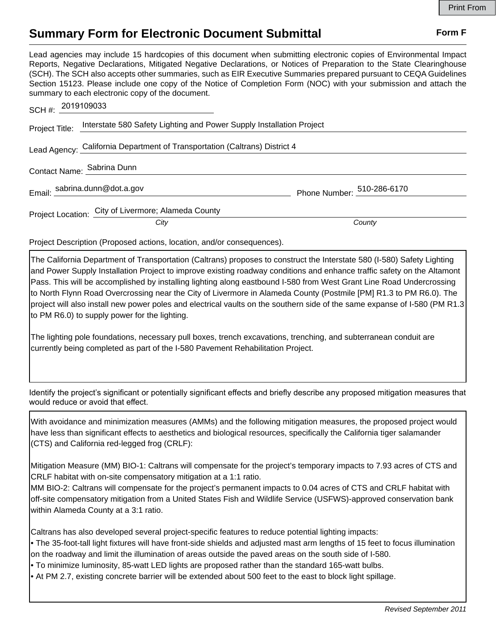## **Summary Form for Electronic Document Submittal Form F Form F**

Lead agencies may include 15 hardcopies of this document when submitting electronic copies of Environmental Impact Reports, Negative Declarations, Mitigated Negative Declarations, or Notices of Preparation to the State Clearinghouse (SCH). The SCH also accepts other summaries, such as EIR Executive Summaries prepared pursuant to CEQA Guidelines Section 15123. Please include one copy of the Notice of Completion Form (NOC) with your submission and attach the summary to each electronic copy of the document.

| SCH #: 2019109033                                                          |                                                                                     |                            |
|----------------------------------------------------------------------------|-------------------------------------------------------------------------------------|----------------------------|
|                                                                            | Project Title: Interstate 580 Safety Lighting and Power Supply Installation Project |                            |
| Lead Agency: California Department of Transportation (Caltrans) District 4 |                                                                                     |                            |
|                                                                            | Contact Name: Sabrina Dunn                                                          |                            |
|                                                                            | Email: sabrina.dunn@dot.a.gov                                                       | Phone Number: 510-286-6170 |
|                                                                            | Project Location: City of Livermore; Alameda County<br>City                         | County                     |
|                                                                            |                                                                                     |                            |

Project Description (Proposed actions, location, and/or consequences).

The California Department of Transportation (Caltrans) proposes to construct the Interstate 580 (I-580) Safety Lighting and Power Supply Installation Project to improve existing roadway conditions and enhance traffic safety on the Altamont Pass. This will be accomplished by installing lighting along eastbound I-580 from West Grant Line Road Undercrossing to North Flynn Road Overcrossing near the City of Livermore in Alameda County (Postmile [PM] R1.3 to PM R6.0). The project will also install new power poles and electrical vaults on the southern side of the same expanse of I-580 (PM R1.3 to PM R6.0) to supply power for the lighting.

The lighting pole foundations, necessary pull boxes, trench excavations, trenching, and subterranean conduit are currently being completed as part of the I-580 Pavement Rehabilitation Project.

Identify the project's significant or potentially significant effects and briefly describe any proposed mitigation measures that would reduce or avoid that effect.

With avoidance and minimization measures (AMMs) and the following mitigation measures, the proposed project would have less than significant effects to aesthetics and biological resources, specifically the California tiger salamander (CTS) and California red-legged frog (CRLF):

Mitigation Measure (MM) BIO-1: Caltrans will compensate for the project's temporary impacts to 7.93 acres of CTS and CRLF habitat with on-site compensatory mitigation at a 1:1 ratio.

MM BIO-2: Caltrans will compensate for the project's permanent impacts to 0.04 acres of CTS and CRLF habitat with off-site compensatory mitigation from a United States Fish and Wildlife Service (USFWS)-approved conservation bank within Alameda County at a 3:1 ratio.

Caltrans has also developed several project-specific features to reduce potential lighting impacts:

• The 35-foot-tall light fixtures will have front-side shields and adjusted mast arm lengths of 15 feet to focus illumination on the roadway and limit the illumination of areas outside the paved areas on the south side of I-580.

• To minimize luminosity, 85-watt LED lights are proposed rather than the standard 165-watt bulbs.

• At PM 2.7, existing concrete barrier will be extended about 500 feet to the east to block light spillage.